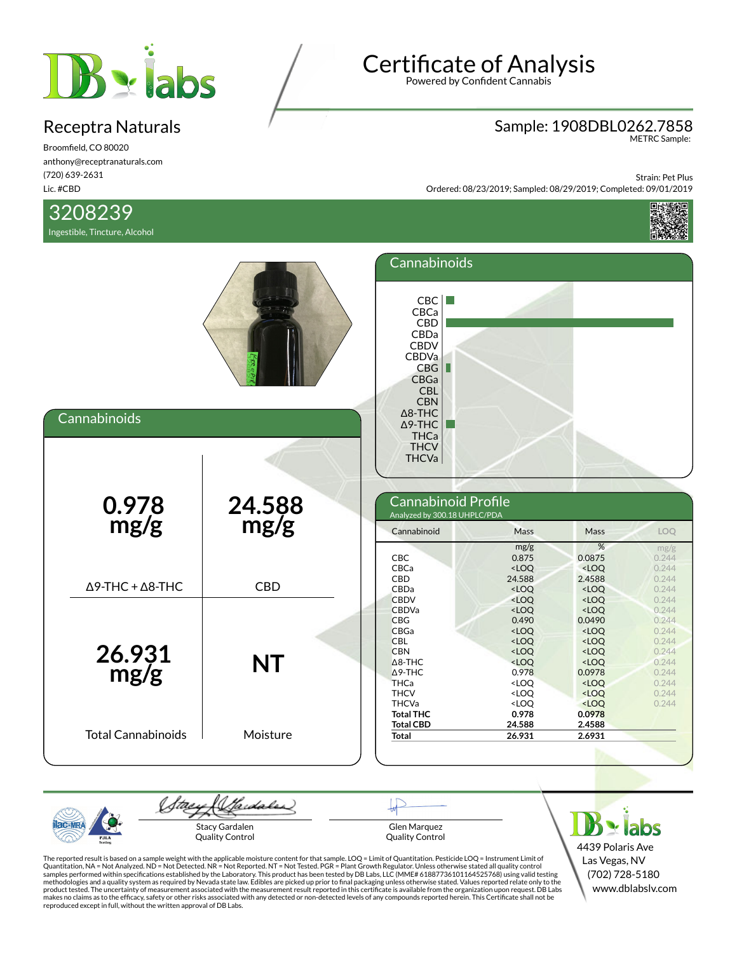

Broomfield, CO 80020 anthony@receptranaturals.com (720) 639-2631 Lic. #CBD

## 3208239

Ingestible, Tincture, Alcohol

# Certificate of Analysis

Powered by Confident Cannabis

# Sample: 1908DBL0262.7858 METRC Sample:

Strain: Pet Plus Ordered: 08/23/2019; Sampled: 08/29/2019; Completed: 09/01/2019



| Cannabinoids                    |                | Cannabinoids<br>CBC<br>CBCa<br>CBD<br>CBDa<br><b>CBDV</b><br>CBDVa<br>CBG<br>CBGa<br><b>CBL</b><br><b>CBN</b><br>$\Delta$ 8-THC<br>$\Delta$ 9-THC<br>THCa |                                                                                                                                                                                                                                                                                                                                                                                                                                                    |                                                                                                                                                                                                                                                                              |                                                                               |
|---------------------------------|----------------|-----------------------------------------------------------------------------------------------------------------------------------------------------------|----------------------------------------------------------------------------------------------------------------------------------------------------------------------------------------------------------------------------------------------------------------------------------------------------------------------------------------------------------------------------------------------------------------------------------------------------|------------------------------------------------------------------------------------------------------------------------------------------------------------------------------------------------------------------------------------------------------------------------------|-------------------------------------------------------------------------------|
| $0.978$<br>mg/g                 | 24.588<br>mg/g | <b>THCV</b><br><b>THCVa</b><br>Cannabinoid Profile<br>Analyzed by 300.18 UHPLC/PDA<br>Cannabinoid<br><b>CBC</b>                                           | Mass<br>mg/g<br>0.875                                                                                                                                                                                                                                                                                                                                                                                                                              | Mass<br>%<br>0.0875                                                                                                                                                                                                                                                          | LOQ<br>mg/g<br>0.244                                                          |
| $\Delta$ 9-THC + $\Delta$ 8-THC | <b>CBD</b>     | CBCa<br>CBD<br>CBDa<br><b>CBDV</b><br><b>CBDVa</b>                                                                                                        | $<$ LOQ<br>24.588<br>$<$ LOQ<br><loq<br><loq< th=""><th><math>&lt;</math>LOQ<br/>2.4588<br/><math>&lt;</math>LOQ<br/><loq<br><math>&lt;</math>LOQ</loq<br></th><th>0.244<br/>0.244<br/>0.244<br/>0.244<br/>0.244</th></loq<></loq<br>                                                                                                                                                                                                              | $<$ LOQ<br>2.4588<br>$<$ LOQ<br><loq<br><math>&lt;</math>LOQ</loq<br>                                                                                                                                                                                                        | 0.244<br>0.244<br>0.244<br>0.244<br>0.244                                     |
| 26.931<br>mg/g                  | <b>NT</b>      | <b>CBG</b><br><b>CBGa</b><br><b>CBL</b><br><b>CBN</b><br>$\Delta$ 8-THC<br>$\Delta$ 9-THC<br><b>THCa</b><br><b>THCV</b><br><b>THCVa</b>                   | 0.490<br><loq<br><math>&lt;</math>LOQ<br/><math>&lt;</math>LOQ<br/><loq<br>0.978<br/><loq<br><loq<br><loq< th=""><th>0.0490<br/><loq<br><math>&lt;</math>LOQ<br/><loq<br><math>&lt;</math>LOQ<br/>0.0978<br/><math>&lt;</math>LOQ<br/><math>&lt;</math>LOQ<br/><loq< th=""><th>0.244<br/>0.244<br/>0.244<br/>0.244<br/>0.244<br/>0.244<br/>0.244<br/>0.244<br/>0.244</th></loq<></loq<br></loq<br></th></loq<></loq<br></loq<br></loq<br></loq<br> | 0.0490<br><loq<br><math>&lt;</math>LOQ<br/><loq<br><math>&lt;</math>LOQ<br/>0.0978<br/><math>&lt;</math>LOQ<br/><math>&lt;</math>LOQ<br/><loq< th=""><th>0.244<br/>0.244<br/>0.244<br/>0.244<br/>0.244<br/>0.244<br/>0.244<br/>0.244<br/>0.244</th></loq<></loq<br></loq<br> | 0.244<br>0.244<br>0.244<br>0.244<br>0.244<br>0.244<br>0.244<br>0.244<br>0.244 |
| <b>Total Cannabinoids</b>       | Moisture       | <b>Total THC</b><br><b>Total CBD</b><br><b>Total</b>                                                                                                      | 0.978<br>24.588<br>26.931                                                                                                                                                                                                                                                                                                                                                                                                                          | 0.0978<br>2.4588<br>2.6931                                                                                                                                                                                                                                                   |                                                                               |

Wardales Stae Stacy Gardalen Quality Control

Glen Marquez Quality Control

 $B$  x labs 4439 Polaris Ave Las Vegas, NV (702) 728-5180 www.dblabslv.com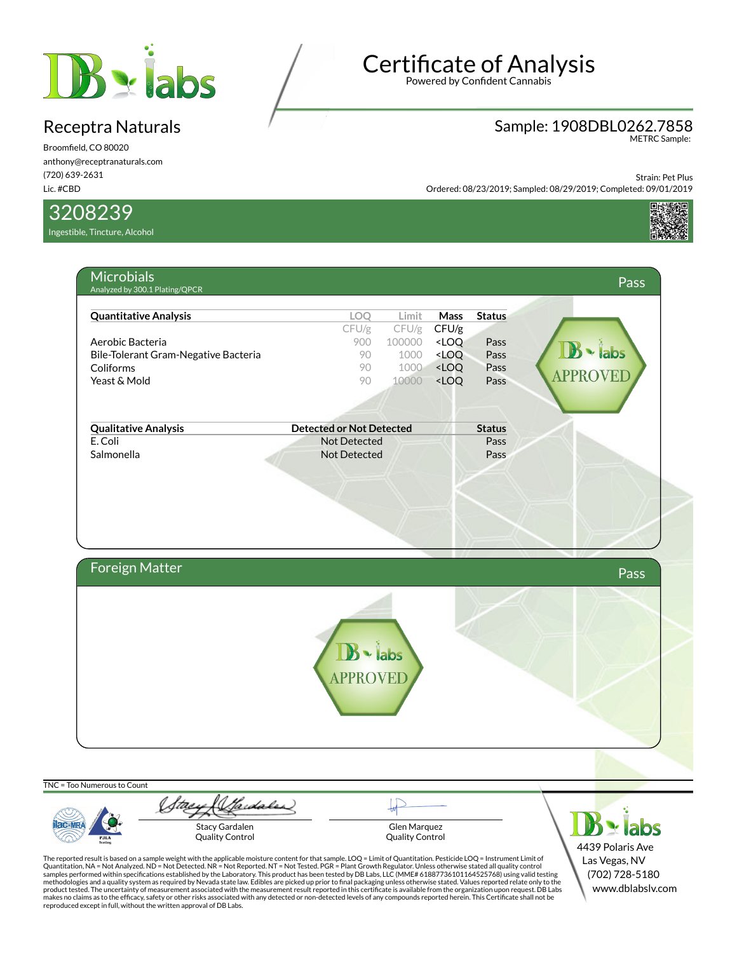

Broomfield, CO 80020 anthony@receptranaturals.com (720) 639-2631 Lic. #CBD

3208239

Ingestible, Tincture, Alcohol

# Certificate of Analysis

Powered by Confident Cannabis

## Sample: 1908DBL0262.7858 METRC Sample:

Strain: Pet Plus Ordered: 08/23/2019; Sampled: 08/29/2019; Completed: 09/01/2019



| <b>Quantitative Analysis</b>         | LOQ                             | Limit  | <b>Mass</b>                                              | <b>Status</b> |                 |
|--------------------------------------|---------------------------------|--------|----------------------------------------------------------|---------------|-----------------|
|                                      | CFU/g                           | CFU/g  | CFU/g                                                    |               |                 |
| Aerobic Bacteria                     | 900                             | 100000 | <loq< th=""><th>Pass</th><th></th></loq<>                | Pass          |                 |
| Bile-Tolerant Gram-Negative Bacteria | 90                              | 1000   | <loq< th=""><th>Pass</th><th>· labs</th></loq<>          | Pass          | · labs          |
| Coliforms                            | 90                              | 1000   | <loq< th=""><th>Pass</th><th><b>APPROVED</b></th></loq<> | Pass          | <b>APPROVED</b> |
| Yeast & Mold                         | 90                              | 10000  | <loq< th=""><th>Pass</th><th></th></loq<>                | Pass          |                 |
|                                      |                                 |        |                                                          |               |                 |
| <b>Qualitative Analysis</b>          | <b>Detected or Not Detected</b> |        |                                                          | <b>Status</b> |                 |
| E. Coli                              | <b>Not Detected</b>             |        |                                                          | Pass          |                 |
| Salmonella                           | <b>Not Detected</b>             |        |                                                          | Pass          |                 |
|                                      |                                 |        |                                                          |               |                 |
| Foreign Matter                       |                                 |        |                                                          |               | Pass            |

TNC = Too Numerous to Count

**Iac-MR** PJLA

Stay & Sadales Stacy Gardalen Quality Control

Glen Marquez Quality Control

 $B \times$ labs 4439 Polaris Ave Las Vegas, NV (702) 728-5180 www.dblabslv.com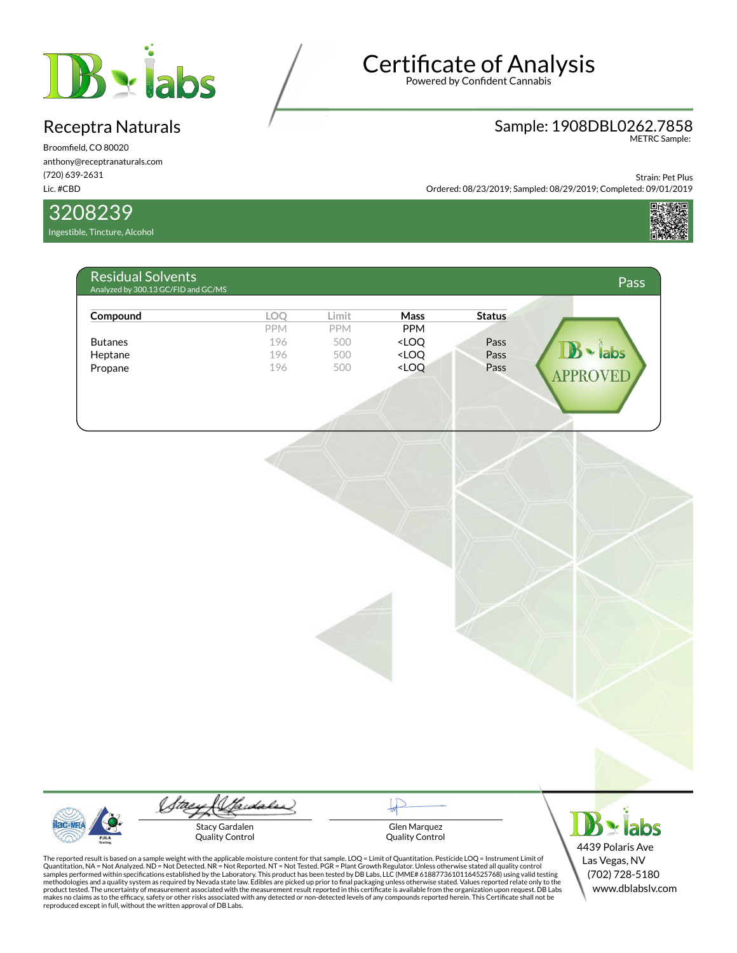

Broomfield, CO 80020 anthony@receptranaturals.com (720) 639-2631 Lic. #CBD

### 3208239

Ingestible, Tincture, Alcohol

# Certificate of Analysis

Powered by Confident Cannabis

## Sample: 1908DBL0262.7858 METRC Sample:

Strain: Pet Plus

Ordered: 08/23/2019; Sampled: 08/29/2019; Completed: 09/01/2019



| Compound       | LOO        | Limit      | <b>Mass</b>                                                     | <b>Status</b> |                 |
|----------------|------------|------------|-----------------------------------------------------------------|---------------|-----------------|
|                | <b>PPM</b> | <b>PPM</b> | <b>PPM</b>                                                      |               |                 |
| <b>Butanes</b> | 196        | 500        | <loq< td=""><td>Pass</td><td></td></loq<>                       | Pass          |                 |
| Heptane        | 196        | 500        | <loq< td=""><td>Pass</td><td><math>\cdot</math>labs</td></loq<> | Pass          | $\cdot$ labs    |
| Propane        | 196        | 500        | <loq< td=""><td>Pass</td><td><b>APPROVEL</b></td></loq<>        | Pass          | <b>APPROVEL</b> |

Gardaler Stacy Gardalen

Quality Control

Glen Marquez Quality Control